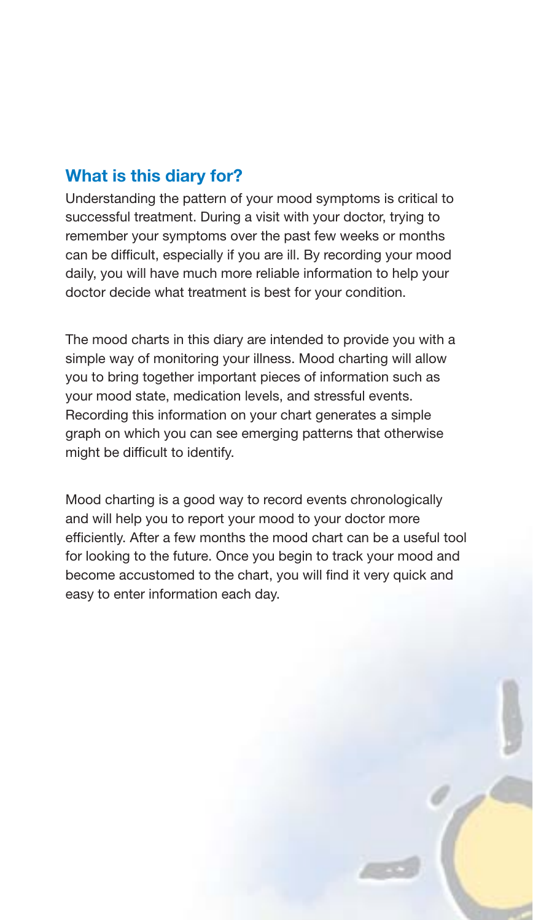# **What is this diary for?**

Understanding the pattern of your mood symptoms is critical to successful treatment. During a visit with your doctor, trying to remember your symptoms over the past few weeks or months can be difficult, especially if you are ill. By recording your mood daily, you will have much more reliable information to help your doctor decide what treatment is best for your condition.

The mood charts in this diary are intended to provide you with a simple way of monitoring your illness. Mood charting will allow you to bring together important pieces of information such as your mood state, medication levels, and stressful events. Recording this information on your chart generates a simple graph on which you can see emerging patterns that otherwise might be difficult to identify.

Mood charting is a good way to record events chronologically and will help you to report your mood to your doctor more efficiently. After a few months the mood chart can be a useful tool for looking to the future. Once you begin to track your mood and become accustomed to the chart, you will find it very quick and easy to enter information each day.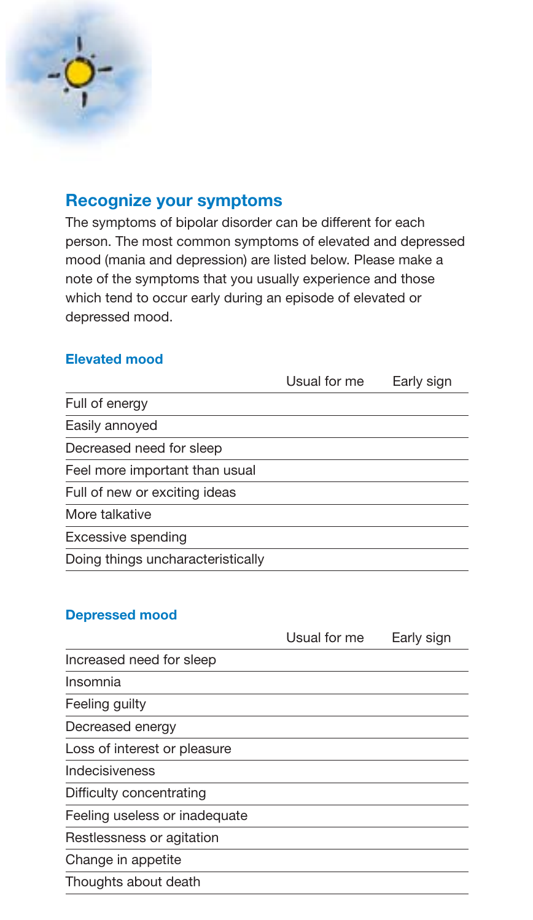

## **Recognize your symptoms**

The symptoms of bipolar disorder can be different for each person. The most common symptoms of elevated and depressed mood (mania and depression) are listed below. Please make a note of the symptoms that you usually experience and those which tend to occur early during an episode of elevated or depressed mood.

#### **Elevated mood**

|                                   | Usual for me | Early sign |
|-----------------------------------|--------------|------------|
| Full of energy                    |              |            |
| Easily annoyed                    |              |            |
| Decreased need for sleep          |              |            |
| Feel more important than usual    |              |            |
| Full of new or exciting ideas     |              |            |
| More talkative                    |              |            |
| Excessive spending                |              |            |
| Doing things uncharacteristically |              |            |
|                                   |              |            |

## **Depressed mood**

|                               | Usual for me | Early sign |
|-------------------------------|--------------|------------|
| Increased need for sleep      |              |            |
| Insomnia                      |              |            |
| Feeling guilty                |              |            |
| Decreased energy              |              |            |
| Loss of interest or pleasure  |              |            |
| Indecisiveness                |              |            |
| Difficulty concentrating      |              |            |
| Feeling useless or inadequate |              |            |
| Restlessness or agitation     |              |            |
| Change in appetite            |              |            |
| Thoughts about death          |              |            |
|                               |              |            |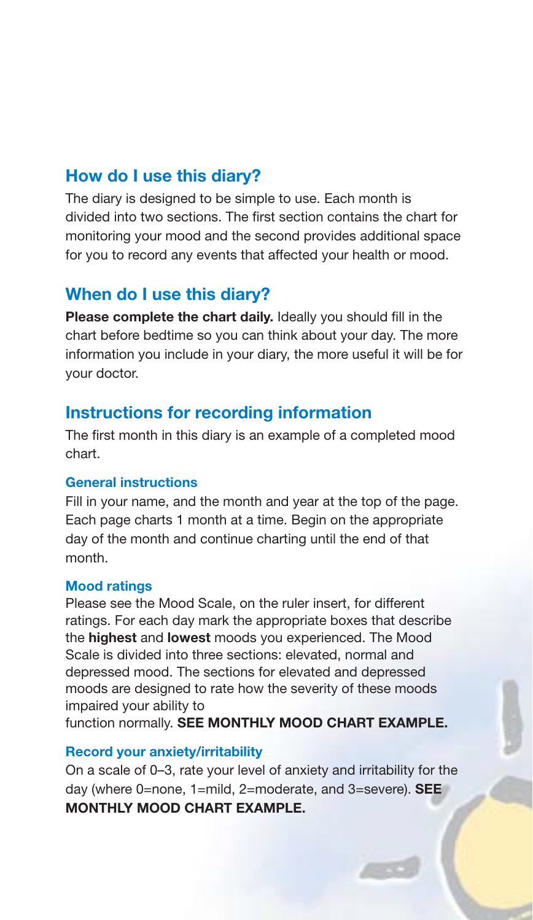## **How do I use this diary?**

The diary is designed to be simple to use. Each month is divided into two sections. The first section contains the chart for monitoring your mood and the second provides additional space for you to record any events that affected your health or mood.

# **When do I use this diary?**

**Please complete the chart daily.** Ideally you should fill in the chart before bedtime so you can think about your day. The more information you include in your diary, the more useful it will be for your doctor.

## **Instructions for recording information**

The first month in this diary is an example of a completed mood chart.

#### **General instructions**

Fill in your name, and the month and year at the top of the page. Each page charts 1 month at a time. Begin on the appropriate day of the month and continue charting until the end of that month.

#### **Mood ratings**

Please see the Mood Scale, on the ruler insert, for different ratings. For each day mark the appropriate boxes that describe the **highest** and **lowest** moods you experienced. The Mood Scale is divided into three sections: elevated, normal and depressed mood. The sections for elevated and depressed moods are designed to rate how the severity of these moods impaired your ability to

function normally. **SEE MONTHLY MOOD CHART EXAMPLE.**

#### **Record your anxiety/irritability**

On a scale of 0–3, rate your level of anxiety and irritability for the day (where 0=none, 1=mild, 2=moderate, and 3=severe). **SEE MONTHLY MOOD CHART EXAMPLE.**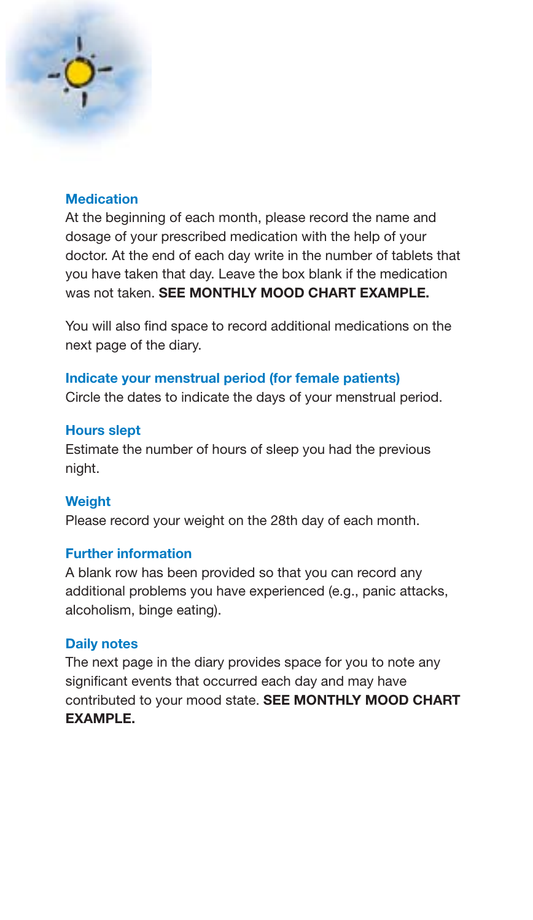## **Medication**

At the beginning of each month, please record the name and dosage of your prescribed medication with the help of your doctor. At the end of each day write in the number of tablets that you have taken that day. Leave the box blank if the medication was not taken. **SEE MONTHLY MOOD CHART EXAMPLE.**

You will also find space to record additional medications on the next page of the diary.

#### **Indicate your menstrual period (for female patients)**

Circle the dates to indicate the days of your menstrual period.

#### **Hours slept**

Estimate the number of hours of sleep you had the previous night.

#### **Weight**

Please record your weight on the 28th day of each month.

#### **Further information**

A blank row has been provided so that you can record any additional problems you have experienced (e.g., panic attacks, alcoholism, binge eating).

#### **Daily notes**

The next page in the diary provides space for you to note any significant events that occurred each day and may have contributed to your mood state. **SEE MONTHLY MOOD CHART EXAMPLE.**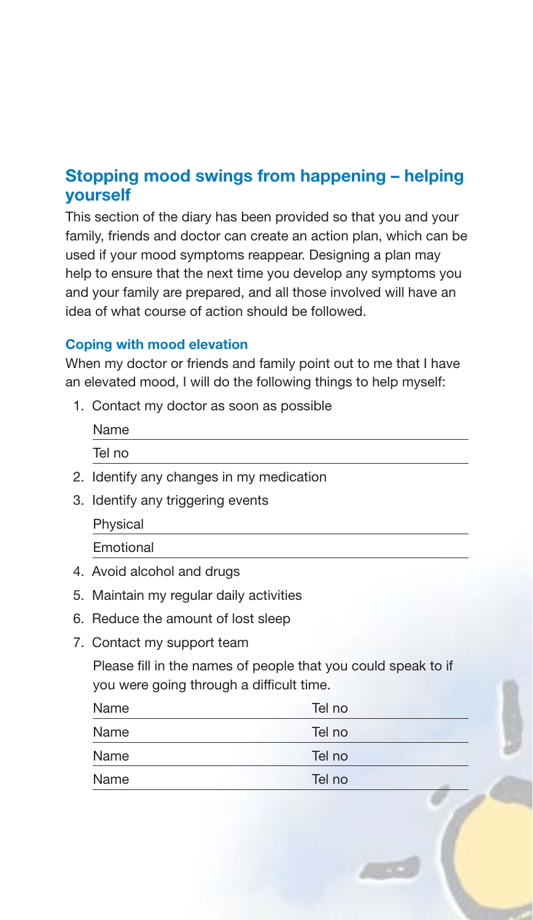# **Stopping mood swings from happening – helping yourself**

This section of the diary has been provided so that you and your family, friends and doctor can create an action plan, which can be used if your mood symptoms reappear. Designing a plan may help to ensure that the next time you develop any symptoms you and your family are prepared, and all those involved will have an idea of what course of action should be followed.

#### **Coping with mood elevation**

When my doctor or friends and family point out to me that I have an elevated mood, I will do the following things to help myself:

1. Contact my doctor as soon as possible

| Name   |  |  |  |
|--------|--|--|--|
| Tel no |  |  |  |

- 2. Identify any changes in my medication
- 3. Identify any triggering events
	- Physical

Emotional

- 4. Avoid alcohol and drugs
- 5. Maintain my regular daily activities
- 6. Reduce the amount of lost sleep
- 7. Contact my support team

Please fill in the names of people that you could speak to if you were going through a difficult time.

| Name | Tel no |
|------|--------|
| Name | Tel no |
| Name | Tel no |
| Name | Tel no |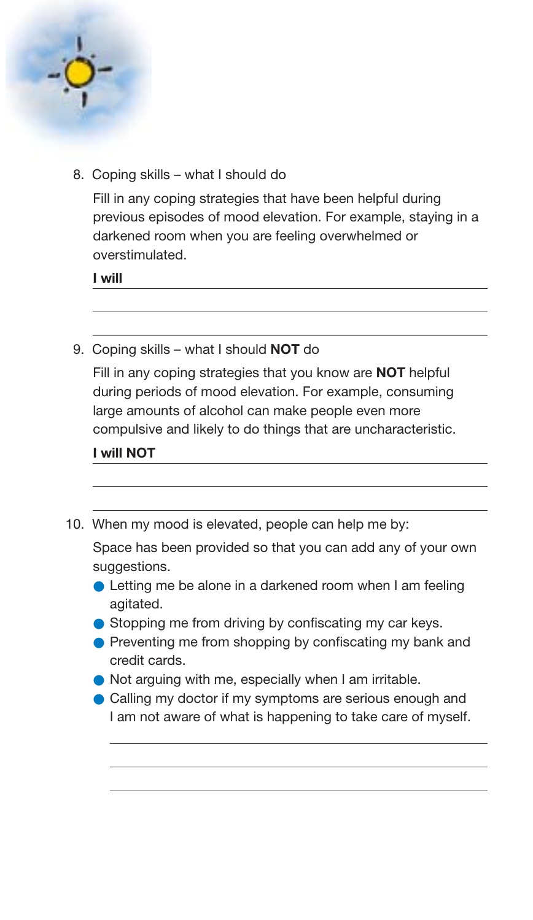

8. Coping skills – what I should do

Fill in any coping strategies that have been helpful during previous episodes of mood elevation. For example, staying in a darkened room when you are feeling overwhelmed or overstimulated.

**I will**

9. Coping skills – what I should **NOT** do

Fill in any coping strategies that you know are **NOT** helpful during periods of mood elevation. For example, consuming large amounts of alcohol can make people even more compulsive and likely to do things that are uncharacteristic.

**I will NOT**

10. When my mood is elevated, people can help me by:

Space has been provided so that you can add any of your own suggestions.

- Letting me be alone in a darkened room when I am feeling agitated.
- Stopping me from driving by confiscating my car keys.
- Preventing me from shopping by confiscating my bank and credit cards.
- Not arguing with me, especially when I am irritable.
- Calling my doctor if my symptoms are serious enough and I am not aware of what is happening to take care of myself.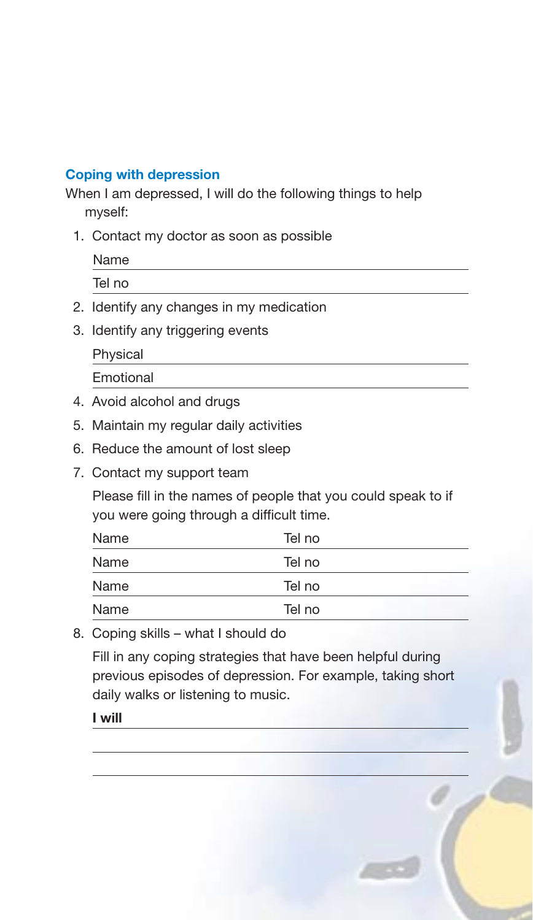## **Coping with depression**

When I am depressed, I will do the following things to help myself:

1. Contact my doctor as soon as possible

Name

Tel no

- 2. Identify any changes in my medication
- 3. Identify any triggering events

Physical

Emotional

- 4. Avoid alcohol and drugs
- 5. Maintain my regular daily activities
- 6. Reduce the amount of lost sleep
- 7. Contact my support team

Please fill in the names of people that you could speak to if you were going through a difficult time.

| Name | Tel no |  |
|------|--------|--|
| Name | Tel no |  |
| Name | Tel no |  |
| Name | Tel no |  |

8. Coping skills – what I should do

Fill in any coping strategies that have been helpful during previous episodes of depression. For example, taking short daily walks or listening to music.

**I will**